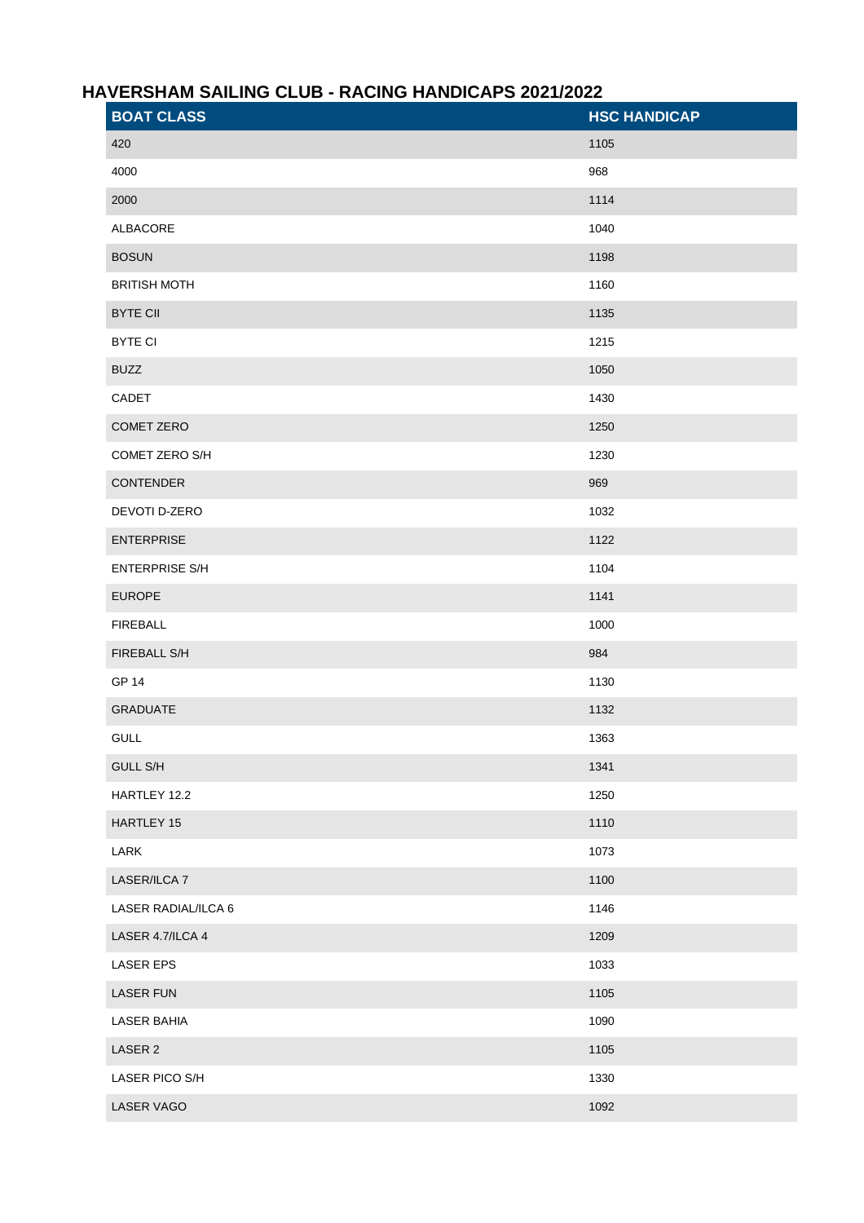## **HAVERSHAM SAILING CLUB - RACING HANDICAPS 2021/2022**

| <b>BOAT CLASS</b>     | <b>HSC HANDICAP</b> |
|-----------------------|---------------------|
| 420                   | 1105                |
| 4000                  | 968                 |
| 2000                  | 1114                |
| ALBACORE              | 1040                |
| <b>BOSUN</b>          | 1198                |
| <b>BRITISH MOTH</b>   | 1160                |
| <b>BYTE CII</b>       | 1135                |
| <b>BYTE CI</b>        | 1215                |
| <b>BUZZ</b>           | 1050                |
| CADET                 | 1430                |
| COMET ZERO            | 1250                |
| COMET ZERO S/H        | 1230                |
| CONTENDER             | 969                 |
| DEVOTI D-ZERO         | 1032                |
| <b>ENTERPRISE</b>     | 1122                |
| <b>ENTERPRISE S/H</b> | 1104                |
| <b>EUROPE</b>         | 1141                |
| <b>FIREBALL</b>       | 1000                |
| FIREBALL S/H          | 984                 |
| <b>GP 14</b>          | 1130                |
| <b>GRADUATE</b>       | 1132                |
| <b>GULL</b>           | 1363                |
| <b>GULL S/H</b>       | 1341                |
| HARTLEY 12.2          | 1250                |
| HARTLEY 15            | 1110                |
| LARK                  | 1073                |
| LASER/ILCA 7          | 1100                |
| LASER RADIAL/ILCA 6   | 1146                |
| LASER 4.7/ILCA 4      | 1209                |
| <b>LASER EPS</b>      | 1033                |
| <b>LASER FUN</b>      | 1105                |
| <b>LASER BAHIA</b>    | 1090                |
| LASER 2               | 1105                |
| LASER PICO S/H        | 1330                |
| LASER VAGO            | 1092                |